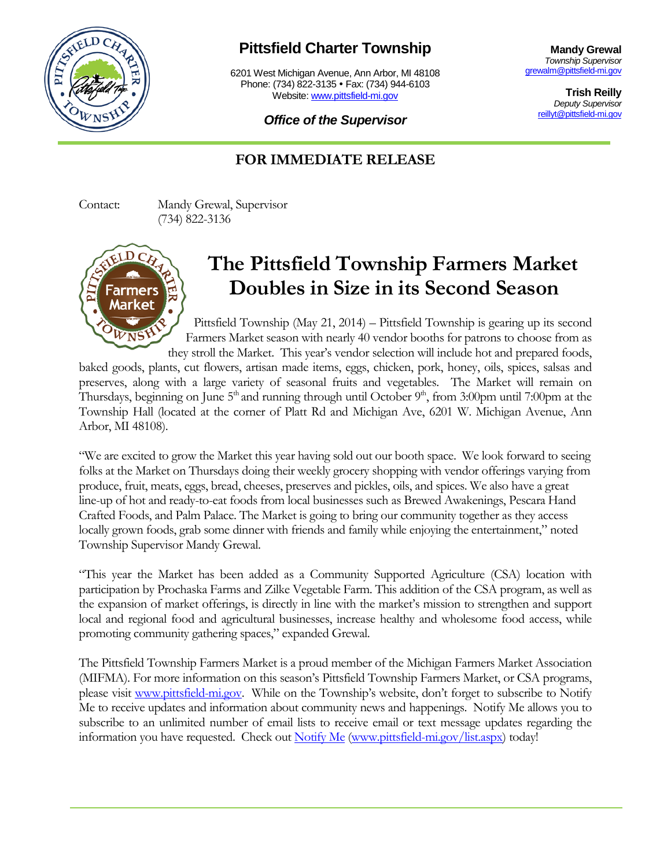

## **Pittsfield Charter Township**

6201 West Michigan Avenue, Ann Arbor, MI 48108 Phone: (734) 822-3135 • Fax: (734) 944-6103 Website: [www.pittsfield-mi.gov](http://www.pittsfield-mi.gov/)

**Mandy Grewal** *Township Supervisor* [grewalm@pittsfield-mi.gov](mailto:grewalm@pittsfield-mi.gov)

> **Trish Reilly** *Deputy Supervisor* [reillyt@pittsfield-mi.gov](mailto:reillyt@pittsfield-mi.gov)

*Office of the Supervisor*

## **FOR IMMEDIATE RELEASE**

Contact: Mandy Grewal, Supervisor (734) 822-3136



## **The Pittsfield Township Farmers Market Doubles in Size in its Second Season**

Pittsfield Township (May 21, 2014) – Pittsfield Township is gearing up its second Farmers Market season with nearly 40 vendor booths for patrons to choose from as they stroll the Market. This year's vendor selection will include hot and prepared foods,

baked goods, plants, cut flowers, artisan made items, eggs, chicken, pork, honey, oils, spices, salsas and preserves, along with a large variety of seasonal fruits and vegetables. The Market will remain on Thursdays, beginning on June  $5<sup>th</sup>$  and running through until October  $9<sup>th</sup>$ , from 3:00pm until 7:00pm at the Township Hall (located at the corner of Platt Rd and Michigan Ave, 6201 W. Michigan Avenue, Ann Arbor, MI 48108).

"We are excited to grow the Market this year having sold out our booth space. We look forward to seeing folks at the Market on Thursdays doing their weekly grocery shopping with vendor offerings varying from produce, fruit, meats, eggs, bread, cheeses, preserves and pickles, oils, and spices. We also have a great line-up of hot and ready-to-eat foods from local businesses such as Brewed Awakenings, Pescara Hand Crafted Foods, and Palm Palace. The Market is going to bring our community together as they access locally grown foods, grab some dinner with friends and family while enjoying the entertainment," noted Township Supervisor Mandy Grewal.

"This year the Market has been added as a Community Supported Agriculture (CSA) location with participation by Prochaska Farms and Zilke Vegetable Farm. This addition of the CSA program, as well as the expansion of market offerings, is directly in line with the market's mission to strengthen and support local and regional food and agricultural businesses, increase healthy and wholesome food access, while promoting community gathering spaces," expanded Grewal.

The Pittsfield Township Farmers Market is a proud member of the Michigan Farmers Market Association (MIFMA). For more information on this season's Pittsfield Township Farmers Market, or CSA programs, please visit [www.pittsfield-mi.gov.](http://www.pittsfield-mi.gov/) While on the Township's website, don't forget to subscribe to Notify Me to receive updates and information about community news and happenings. Notify Me allows you to subscribe to an unlimited number of email lists to receive email or text message updates regarding the information you have requested. Check ou[t Notify Me](http://www.pittsfield-mi.gov/list.aspx) [\(www.pittsfield-mi.gov/list.aspx\)](http://www.pittsfield-mi.gov/list.aspx) today!